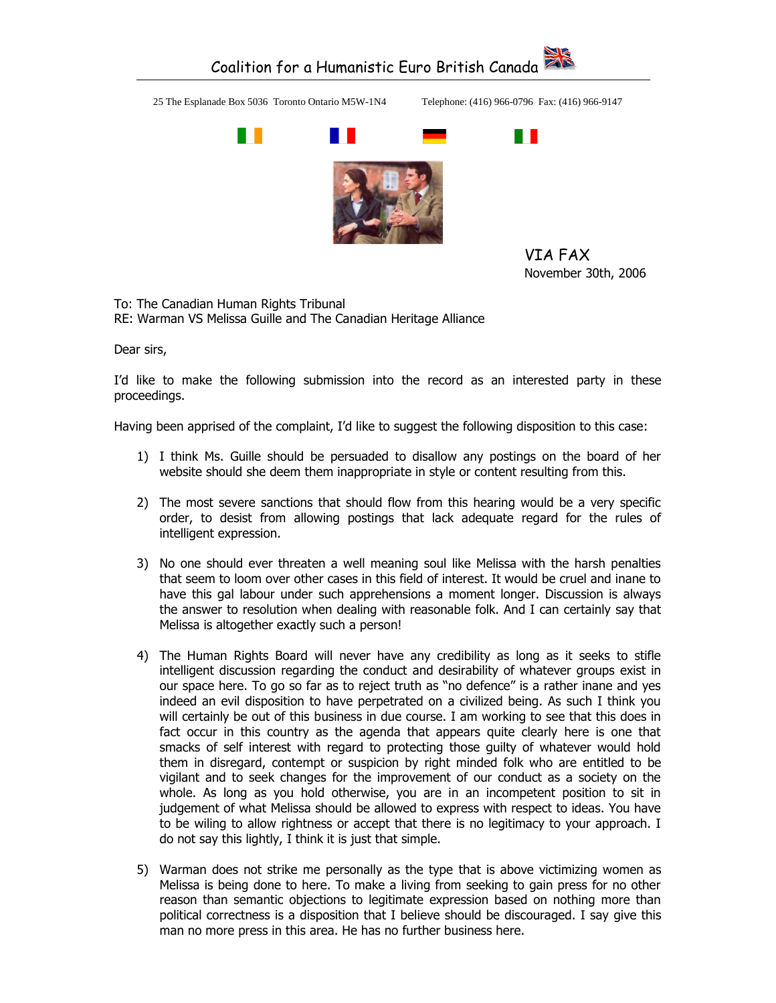## Coalition for a Humanistic Euro British Canada 25 The Esplanade Box 5036 Toronto Ontario M5W-1N4 Telephone: (416) 966-0796 Fax: (416) 966-9147 n D . .

VIA FAX November 30th, 2006

To: The Canadian Human Rights Tribunal RE: Warman VS Melissa Guille and The Canadian Heritage Alliance

Dear sirs,

I'd like to make the following submission into the record as an interested party in these proceedings.

Having been apprised of the complaint, I'd like to suggest the following disposition to this case:

- 1) I think Ms. Guille should be persuaded to disallow any postings on the board of her website should she deem them inappropriate in style or content resulting from this.
- 2) The most severe sanctions that should flow from this hearing would be a very specific order, to desist from allowing postings that lack adequate regard for the rules of intelligent expression.
- 3) No one should ever threaten a well meaning soul like Melissa with the harsh penalties that seem to loom over other cases in this field of interest. It would be cruel and inane to have this gal labour under such apprehensions a moment longer. Discussion is always the answer to resolution when dealing with reasonable folk. And I can certainly say that Melissa is altogether exactly such a person!
- 4) The Human Rights Board will never have any credibility as long as it seeks to stifle intelligent discussion regarding the conduct and desirability of whatever groups exist in our space here. To go so far as to reject truth as "no defence" is a rather inane and yes indeed an evil disposition to have perpetrated on a civilized being. As such I think you will certainly be out of this business in due course. I am working to see that this does in fact occur in this country as the agenda that appears quite clearly here is one that smacks of self interest with regard to protecting those guilty of whatever would hold them in disregard, contempt or suspicion by right minded folk who are entitled to be vigilant and to seek changes for the improvement of our conduct as a society on the whole. As long as you hold otherwise, you are in an incompetent position to sit in judgement of what Melissa should be allowed to express with respect to ideas. You have to be wiling to allow rightness or accept that there is no legitimacy to your approach. I do not say this lightly, I think it is just that simple.
- 5) Warman does not strike me personally as the type that is above victimizing women as Melissa is being done to here. To make a living from seeking to gain press for no other reason than semantic objections to legitimate expression based on nothing more than political correctness is a disposition that I believe should be discouraged. I say give this man no more press in this area. He has no further business here.